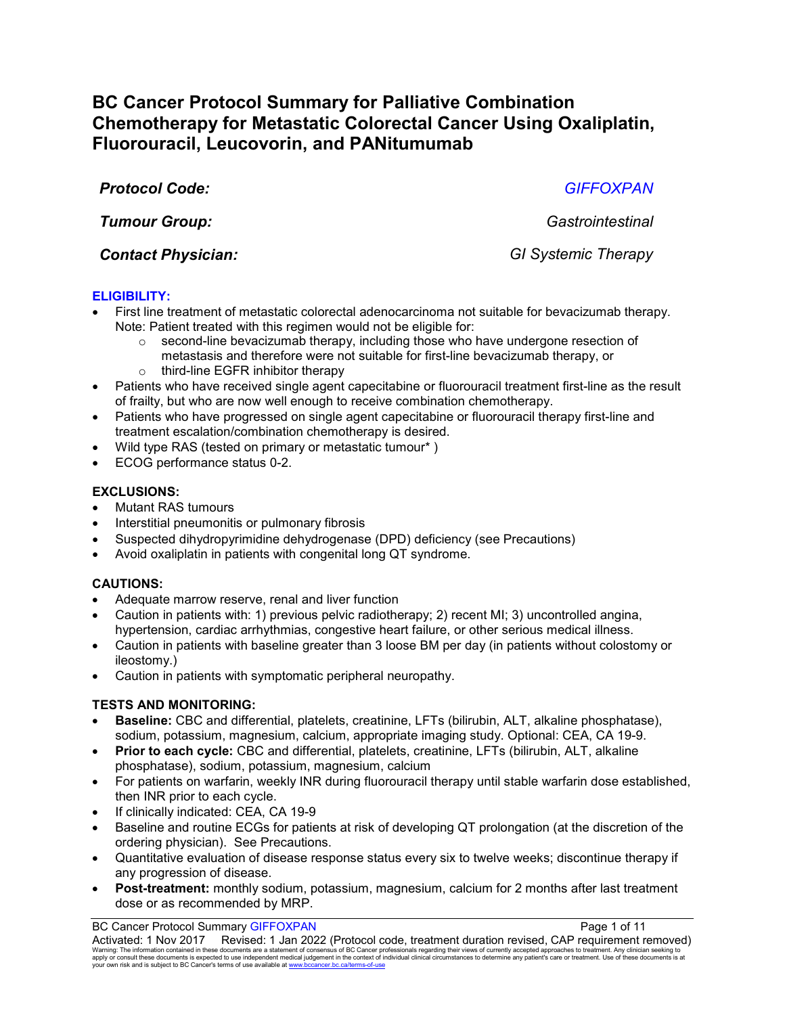# **BC Cancer Protocol Summary for Palliative Combination Chemotherapy for Metastatic Colorectal Cancer Using Oxaliplatin, Fluorouracil, Leucovorin, and PANitumumab**

*Protocol Code: GIFFOXPAN*

*Tumour Group: Gastrointestinal*

*Contact Physician: GI Systemic Therapy*

# **ELIGIBILITY:**

- First line treatment of metastatic colorectal adenocarcinoma not suitable for bevacizumab therapy. Note: Patient treated with this regimen would not be eligible for:
	- $\circ$  second-line bevacizumab therapy, including those who have undergone resection of metastasis and therefore were not suitable for first-line bevacizumab therapy, or
	- o third-line EGFR inhibitor therapy
- Patients who have received single agent capecitabine or fluorouracil treatment first-line as the result of frailty, but who are now well enough to receive combination chemotherapy.
- Patients who have progressed on single agent capecitabine or fluorouracil therapy first-line and treatment escalation/combination chemotherapy is desired.
- Wild type RAS (tested on primary or metastatic tumour\* )
- ECOG performance status 0-2.

# **EXCLUSIONS:**

- Mutant RAS tumours
- Interstitial pneumonitis or pulmonary fibrosis
- Suspected dihydropyrimidine dehydrogenase (DPD) deficiency (see Precautions)
- Avoid oxaliplatin in patients with congenital long QT syndrome.

# **CAUTIONS:**

- Adequate marrow reserve, renal and liver function
- Caution in patients with: 1) previous pelvic radiotherapy; 2) recent MI; 3) uncontrolled angina, hypertension, cardiac arrhythmias, congestive heart failure, or other serious medical illness.
- Caution in patients with baseline greater than 3 loose BM per day (in patients without colostomy or ileostomy.)
- Caution in patients with symptomatic peripheral neuropathy.

# **TESTS AND MONITORING:**

- **Baseline:** CBC and differential, platelets, creatinine, LFTs (bilirubin, ALT, alkaline phosphatase), sodium, potassium, magnesium, calcium, appropriate imaging study. Optional: CEA, CA 19-9.
- **Prior to each cycle:** CBC and differential, platelets, creatinine, LFTs (bilirubin, ALT, alkaline phosphatase), sodium, potassium, magnesium, calcium
- For patients on warfarin, weekly INR during fluorouracil therapy until stable warfarin dose established, then INR prior to each cycle.
- If clinically indicated: CEA, CA 19-9
- Baseline and routine ECGs for patients at risk of developing QT prolongation (at the discretion of the ordering physician). See Precautions.
- Quantitative evaluation of disease response status every six to twelve weeks; discontinue therapy if any progression of disease.
- **Post-treatment:** monthly sodium, potassium, magnesium, calcium for 2 months after last treatment dose or as recommended by MRP.

### BC Cancer Protocol Summary GIFFOXPAN **Page 1** of 11

Activated: 1 Nov 2017 Revised: 1 Jan 2022 (Protocol code, treatment duration revised, CAP requirement removed) Waming: The information contained in these documents are a statement of consensus of BC Cancer professionals regarding their views of currently accepted approaches to treatment. Any clinicial seeking to<br>apply or consult th your own risk and is subject to BC Cancer's terms of use available at www.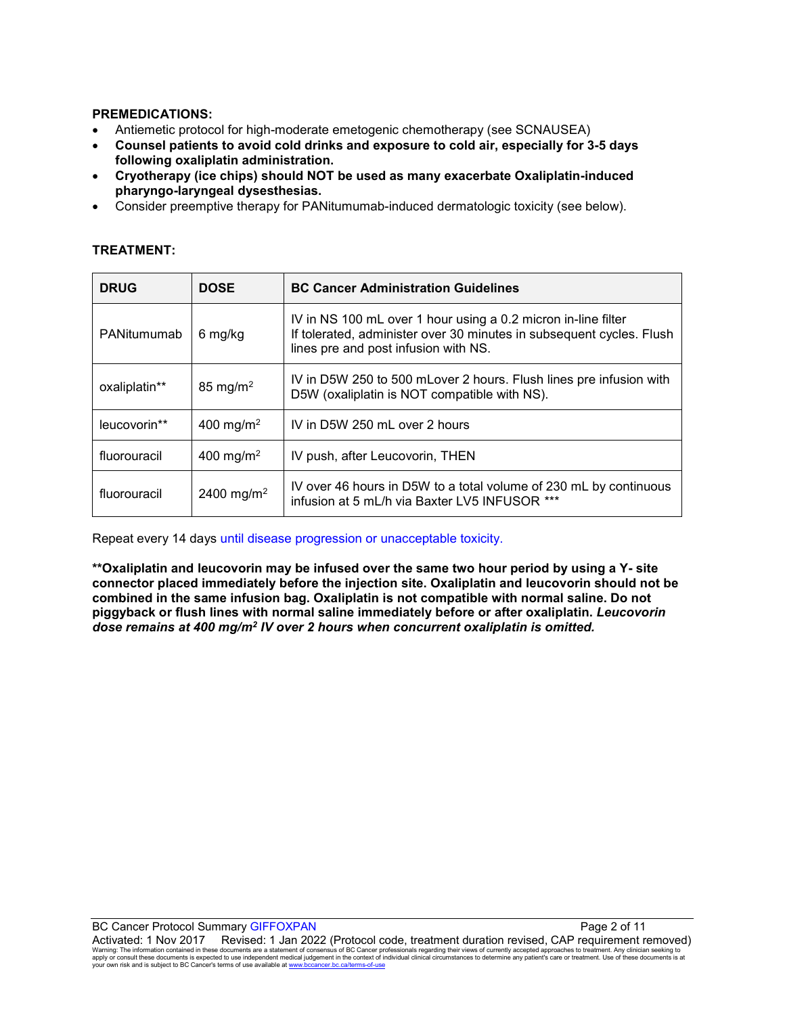#### **PREMEDICATIONS:**

- Antiemetic protocol for high-moderate emetogenic chemotherapy (see SCNAUSEA)
- **Counsel patients to avoid cold drinks and exposure to cold air, especially for 3-5 days following oxaliplatin administration.**
- **Cryotherapy (ice chips) should NOT be used as many exacerbate Oxaliplatin-induced pharyngo-laryngeal dysesthesias.**
- Consider preemptive therapy for PANitumumab-induced dermatologic toxicity (see below).

### **TREATMENT:**

| <b>DRUG</b>   | <b>DOSE</b>            | <b>BC Cancer Administration Guidelines</b>                                                                                                                                    |  |
|---------------|------------------------|-------------------------------------------------------------------------------------------------------------------------------------------------------------------------------|--|
| PANitumumab   | 6 mg/kg                | IV in NS 100 mL over 1 hour using a 0.2 micron in-line filter<br>If tolerated, administer over 30 minutes in subsequent cycles. Flush<br>lines pre and post infusion with NS. |  |
| oxaliplatin** | $85 \text{ mg/m}^2$    | IV in D5W 250 to 500 mLover 2 hours. Flush lines pre infusion with<br>D5W (oxaliplatin is NOT compatible with NS).                                                            |  |
| leucovorin**  | 400 mg/m <sup>2</sup>  | IV in D5W 250 mL over 2 hours                                                                                                                                                 |  |
| fluorouracil  | 400 mg/m <sup>2</sup>  | IV push, after Leucovorin, THEN                                                                                                                                               |  |
| fluorouracil  | 2400 mg/m <sup>2</sup> | IV over 46 hours in D5W to a total volume of 230 mL by continuous<br>infusion at 5 mL/h via Baxter LV5 INFUSOR ***                                                            |  |

Repeat every 14 days until disease progression or unacceptable toxicity.

**\*\*Oxaliplatin and leucovorin may be infused over the same two hour period by using a Y- site connector placed immediately before the injection site. Oxaliplatin and leucovorin should not be combined in the same infusion bag. Oxaliplatin is not compatible with normal saline. Do not piggyback or flush lines with normal saline immediately before or after oxaliplatin.** *Leucovorin dose remains at 400 mg/m2 IV over 2 hours when concurrent oxaliplatin is omitted.*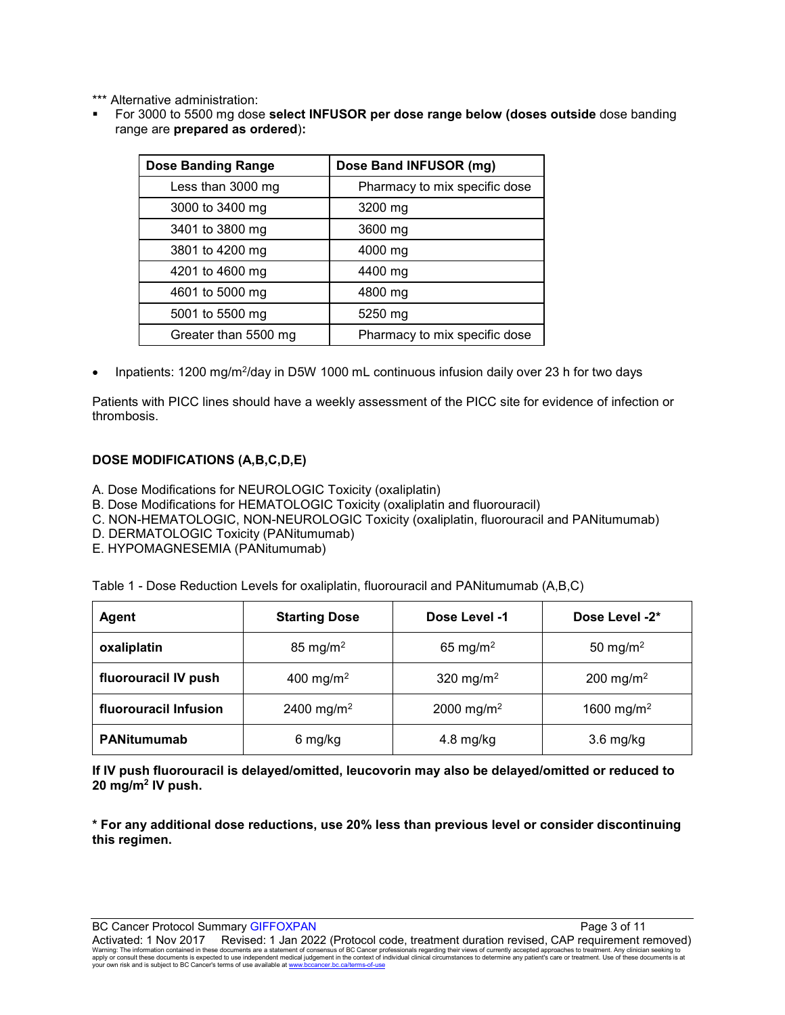\*\*\* Alternative administration:

 For 3000 to 5500 mg dose **select INFUSOR per dose range below (doses outside** dose banding range are **prepared as ordered**)**:**

| <b>Dose Banding Range</b> | Dose Band INFUSOR (mg)        |  |
|---------------------------|-------------------------------|--|
| Less than 3000 mg         | Pharmacy to mix specific dose |  |
| 3000 to 3400 mg           | 3200 mg                       |  |
| 3401 to 3800 mg           | 3600 mg                       |  |
| 3801 to 4200 mg           | 4000 mg                       |  |
| 4201 to 4600 mg           | 4400 mg                       |  |
| 4601 to 5000 mg           | 4800 mg                       |  |
| 5001 to 5500 mg           | 5250 mg                       |  |
| Greater than 5500 mg      | Pharmacy to mix specific dose |  |

• Inpatients: 1200 mg/m<sup>2</sup>/day in D5W 1000 mL continuous infusion daily over 23 h for two days

Patients with PICC lines should have a weekly assessment of the PICC site for evidence of infection or thrombosis.

### **DOSE MODIFICATIONS (A,B,C,D,E)**

A. Dose Modifications for NEUROLOGIC Toxicity (oxaliplatin)

- B. Dose Modifications for HEMATOLOGIC Toxicity (oxaliplatin and fluorouracil)
- C. NON-HEMATOLOGIC, NON-NEUROLOGIC Toxicity (oxaliplatin, fluorouracil and PANitumumab)
- D. DERMATOLOGIC Toxicity (PANitumumab)
- E. HYPOMAGNESEMIA (PANitumumab)

| <b>Agent</b>          | <b>Starting Dose</b>   | Dose Level -1          | Dose Level -2*         |
|-----------------------|------------------------|------------------------|------------------------|
| oxaliplatin           | 85 mg/m <sup>2</sup>   | 65 mg/m <sup>2</sup>   | 50 mg/m <sup>2</sup>   |
| fluorouracil IV push  | 400 mg/m <sup>2</sup>  | 320 mg/m <sup>2</sup>  | 200 mg/m <sup>2</sup>  |
| fluorouracil Infusion | 2400 mg/m <sup>2</sup> | 2000 mg/m <sup>2</sup> | 1600 mg/m <sup>2</sup> |
| <b>PANitumumab</b>    | 6 mg/kg                | $4.8$ mg/kg            | $3.6$ mg/kg            |

**If IV push fluorouracil is delayed/omitted, leucovorin may also be delayed/omitted or reduced to 20 mg/m2 IV push.**

**\* For any additional dose reductions, use 20% less than previous level or consider discontinuing this regimen.**

BC Cancer Protocol Summary GIFFOXPAN **Page 3 of 11** and 2008 and 2008 and 2008 and 2008 and 2008 and 2008 and 200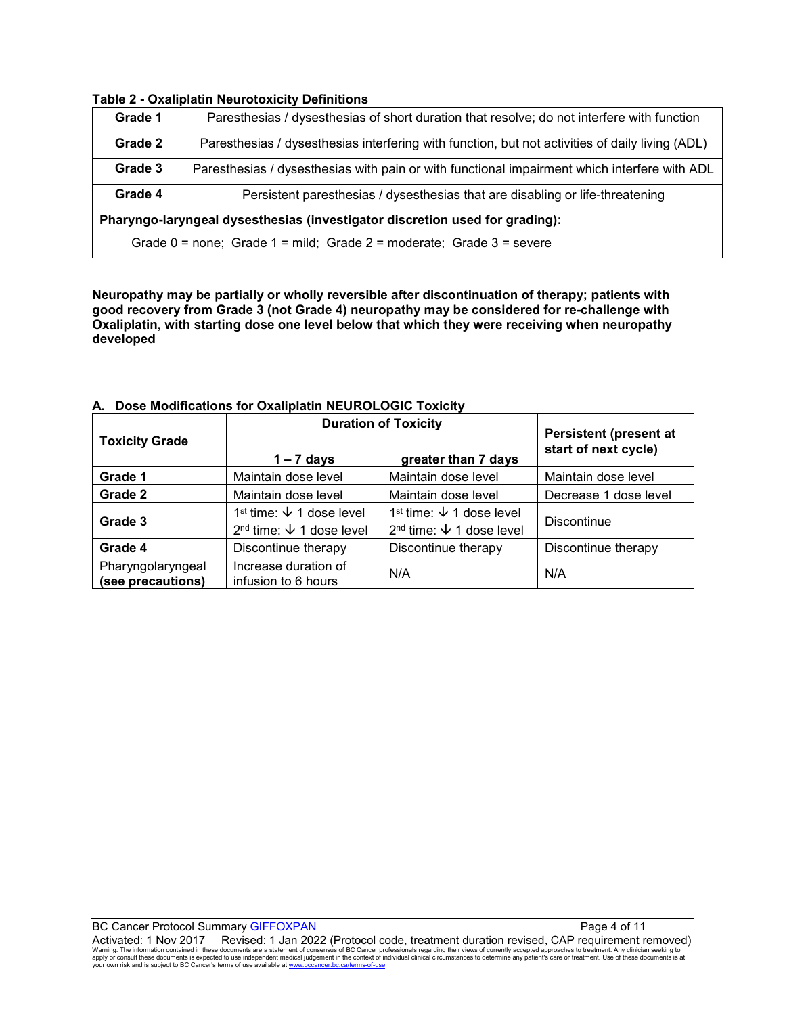|                                                                                          | Table 2 - Oxalibiatili Neal Otoxicity Definitions                                               |  |
|------------------------------------------------------------------------------------------|-------------------------------------------------------------------------------------------------|--|
| Grade 1                                                                                  | Paresthesias / dysesthesias of short duration that resolve; do not interfere with function      |  |
| Grade 2                                                                                  | Paresthesias / dysesthesias interfering with function, but not activities of daily living (ADL) |  |
| Grade 3                                                                                  | Paresthesias / dysesthesias with pain or with functional impairment which interfere with ADL    |  |
| Grade 4<br>Persistent paresthesias / dysesthesias that are disabling or life-threatening |                                                                                                 |  |
| Pharyngo-laryngeal dysesthesias (investigator discretion used for grading):              |                                                                                                 |  |
| Grade $0 =$ none; Grade $1 =$ mild; Grade $2 =$ moderate; Grade $3 =$ severe             |                                                                                                 |  |

#### **Table 2 - Oxaliplatin Neurotoxicity Definitions**

**Neuropathy may be partially or wholly reversible after discontinuation of therapy; patients with good recovery from Grade 3 (not Grade 4) neuropathy may be considered for re-challenge with Oxaliplatin, with starting dose one level below that which they were receiving when neuropathy developed**

| <b>Toxicity Grade</b>                  | <b>Duration of Toxicity</b>                                                          | <b>Persistent (present at</b>                                                                  |                       |
|----------------------------------------|--------------------------------------------------------------------------------------|------------------------------------------------------------------------------------------------|-----------------------|
|                                        | $1 - 7$ days                                                                         | greater than 7 days                                                                            | start of next cycle)  |
| Grade 1                                | Maintain dose level                                                                  | Maintain dose level                                                                            | Maintain dose level   |
| Grade 2                                | Maintain dose level                                                                  | Maintain dose level                                                                            | Decrease 1 dose level |
| Grade 3                                | 1 <sup>st</sup> time: $\sqrt{ }$ 1 dose level<br>$2nd$ time: $\sqrt{ }$ 1 dose level | 1 <sup>st</sup> time: $\sqrt{ }$ 1 dose level<br>2 <sup>nd</sup> time: $\sqrt{ }$ 1 dose level | <b>Discontinue</b>    |
| Grade 4                                | Discontinue therapy                                                                  | Discontinue therapy                                                                            | Discontinue therapy   |
| Pharyngolaryngeal<br>(see precautions) | Increase duration of<br>infusion to 6 hours                                          | N/A                                                                                            | N/A                   |

#### **A. Dose Modifications for Oxaliplatin NEUROLOGIC Toxicity**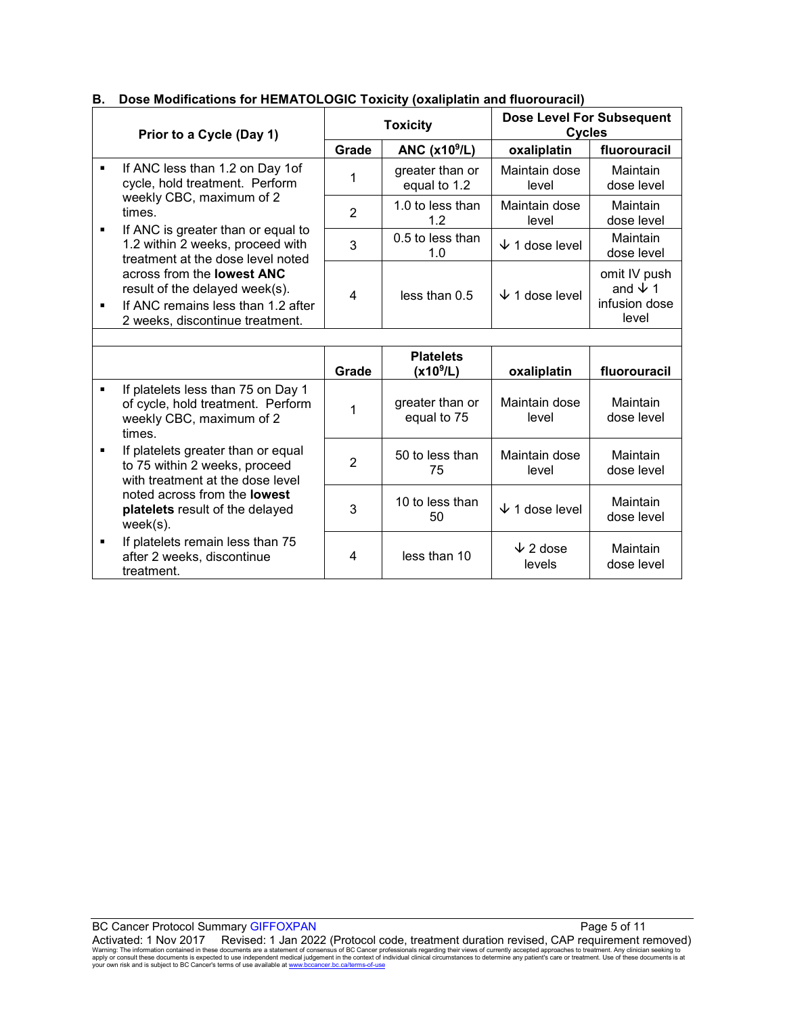# **B. Dose Modifications for HEMATOLOGIC Toxicity (oxaliplatin and fluorouracil)**

times.

week(s).

treatment.

**If platelets greater than or equal** to 75 within 2 weeks, proceed with treatment at the dose level noted across from the **lowest platelets** result of the delayed

**If platelets remain less than 75** after 2 weeks, discontinue

| Prior to a Cycle (Day 1) |                                                                                                                                                                | <b>Toxicity</b> |                                   | <b>Dose Level For Subsequent</b><br><b>Cycles</b> |                                                          |
|--------------------------|----------------------------------------------------------------------------------------------------------------------------------------------------------------|-----------------|-----------------------------------|---------------------------------------------------|----------------------------------------------------------|
|                          |                                                                                                                                                                | Grade           | ANC $(x109/L)$                    | oxaliplatin                                       | fluorouracil                                             |
|                          | If ANC less than 1.2 on Day 1of<br>٠<br>cycle, hold treatment. Perform                                                                                         |                 | greater than or<br>equal to 1.2   | Maintain dose<br>level                            | Maintain<br>dose level                                   |
|                          | weekly CBC, maximum of 2<br>times.                                                                                                                             | $\overline{2}$  | 1.0 to less than<br>1.2           | Maintain dose<br>level                            | Maintain<br>dose level                                   |
|                          | If ANC is greater than or equal to<br>٠<br>1.2 within 2 weeks, proceed with<br>treatment at the dose level noted                                               | 3               | 0.5 to less than<br>1.0           | ◡<br>1 dose level                                 | Maintain<br>dose level                                   |
|                          | across from the <b>lowest ANC</b><br>result of the delayed week(s).<br>If ANC remains less than 1.2 after<br>$\blacksquare$<br>2 weeks, discontinue treatment. | 4               | less than 0.5                     | $\sqrt{1}$ dose level                             | omit IV push<br>and $\sqrt{1}$<br>infusion dose<br>level |
|                          |                                                                                                                                                                |                 |                                   |                                                   |                                                          |
|                          |                                                                                                                                                                | Grade           | <b>Platelets</b><br>$(x10^{9}/L)$ | oxaliplatin                                       | fluorouracil                                             |
|                          | If platelets less than 75 on Day 1<br>٠<br>of cycle, hold treatment. Perform<br>weekly CBC, maximum of 2                                                       |                 | greater than or<br>equal to 75    | Maintain dose<br>level                            | Maintain<br>dose level                                   |

 $2 \begin{array}{|c|} 50 \text{ to less than} \\ 75 \end{array}$ 75

 $3 \begin{array}{|c|c|} \hline 10 \text{ to less than} \\ \hline 50 \end{array}$ 

4 less than 10  $\downarrow$  2 dose

Maintain dose level

levels

 $\downarrow$  1 dose level Maintain

Maintain dose level

dose level

Maintain dose level

| <b>BC Cancer Protocol Summary GIFFOXPAN</b>                                                                                                                                                                      | Page 5 of 11 |  |  |  |
|------------------------------------------------------------------------------------------------------------------------------------------------------------------------------------------------------------------|--------------|--|--|--|
| Activated: 1 Nov 2017  Revised: 1 Jan 2022 (Protocol code, treatment duration revised, CAP requirement removed)                                                                                                  |              |  |  |  |
| Warning: The information contained in these documents are a statement of consensus of BC Cancer professionals regarding their views of currently accepted approaches to treatment. Any clinician seeking to      |              |  |  |  |
| apply or consult these documents is expected to use independent medical judgement in the context of individual clinical circumstances to determine any patient's care or treatment. Use of these documents is at |              |  |  |  |
| your own risk and is subject to BC Cancer's terms of use available at www.bccancer.bc.ca/terms-of-use                                                                                                            |              |  |  |  |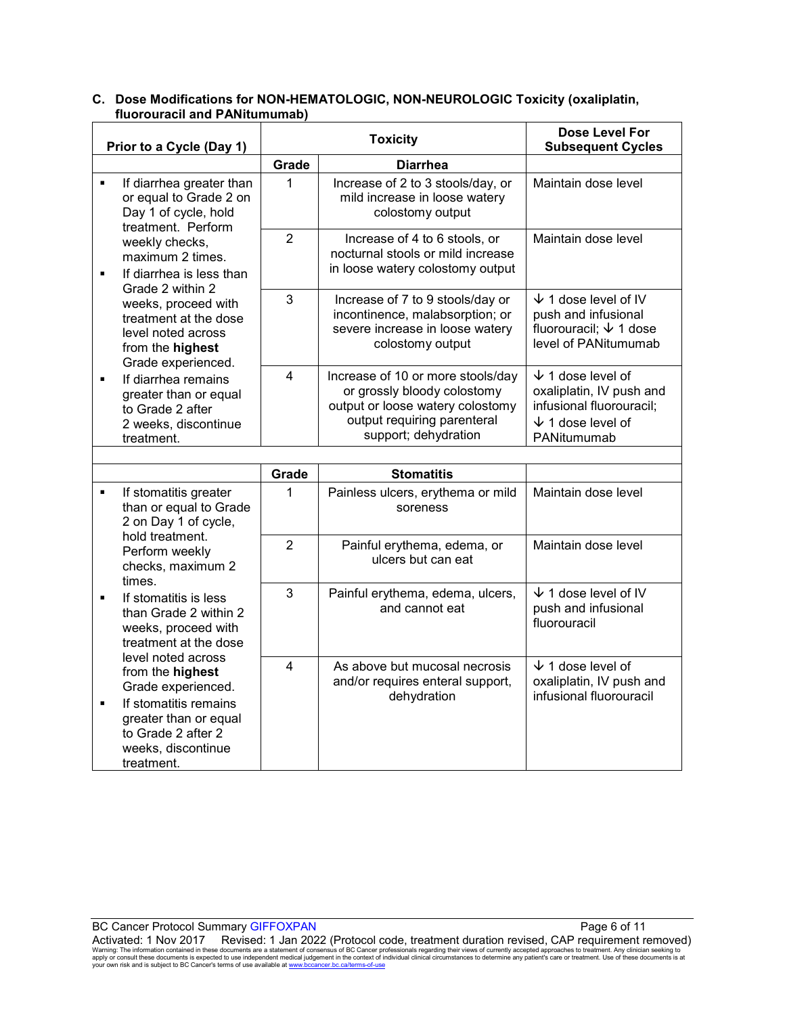| Prior to a Cycle (Day 1) |                                                                                                                      | <b>Toxicity</b> |                                                                                                                                                             | Dose Level For<br><b>Subsequent Cycles</b>                                                                                      |
|--------------------------|----------------------------------------------------------------------------------------------------------------------|-----------------|-------------------------------------------------------------------------------------------------------------------------------------------------------------|---------------------------------------------------------------------------------------------------------------------------------|
|                          |                                                                                                                      | Grade           | <b>Diarrhea</b>                                                                                                                                             |                                                                                                                                 |
| $\blacksquare$           | If diarrhea greater than<br>or equal to Grade 2 on<br>Day 1 of cycle, hold<br>treatment. Perform                     | 1               | Increase of 2 to 3 stools/day, or<br>mild increase in loose watery<br>colostomy output                                                                      | Maintain dose level                                                                                                             |
| $\blacksquare$           | weekly checks,<br>maximum 2 times.<br>If diarrhea is less than<br>Grade 2 within 2                                   | $\overline{2}$  | Increase of 4 to 6 stools, or<br>nocturnal stools or mild increase<br>in loose watery colostomy output                                                      | Maintain dose level                                                                                                             |
|                          | weeks, proceed with<br>treatment at the dose<br>level noted across<br>from the highest<br>Grade experienced.         | 3               | Increase of 7 to 9 stools/day or<br>incontinence, malabsorption; or<br>severe increase in loose watery<br>colostomy output                                  | $\sqrt{1}$ 1 dose level of IV<br>push and infusional<br>fluorouracil; $\sqrt{ }$ 1 dose<br>level of PANitumumab                 |
| $\blacksquare$           | If diarrhea remains<br>greater than or equal<br>to Grade 2 after<br>2 weeks, discontinue<br>treatment.               | 4               | Increase of 10 or more stools/day<br>or grossly bloody colostomy<br>output or loose watery colostomy<br>output requiring parenteral<br>support; dehydration | $\sqrt{ }$ 1 dose level of<br>oxaliplatin, IV push and<br>infusional fluorouracil;<br>$\sqrt{ }$ 1 dose level of<br>PANitumumab |
|                          |                                                                                                                      |                 |                                                                                                                                                             |                                                                                                                                 |
|                          |                                                                                                                      | Grade           | <b>Stomatitis</b>                                                                                                                                           |                                                                                                                                 |
| $\blacksquare$           | If stomatitis greater<br>than or equal to Grade<br>2 on Day 1 of cycle,                                              | 1               | Painless ulcers, erythema or mild<br>soreness                                                                                                               | Maintain dose level                                                                                                             |
|                          | hold treatment.<br>Perform weekly<br>checks, maximum 2<br>times.                                                     | $\overline{2}$  | Painful erythema, edema, or<br>ulcers but can eat                                                                                                           | Maintain dose level                                                                                                             |
| $\blacksquare$           | If stomatitis is less<br>than Grade 2 within 2<br>weeks, proceed with<br>treatment at the dose<br>level noted across | 3               | Painful erythema, edema, ulcers,<br>and cannot eat                                                                                                          | $\sqrt{ }$ 1 dose level of IV<br>push and infusional<br>fluorouracil                                                            |
| ٠                        | from the highest<br>Grade experienced.<br>If stomatitis remains                                                      | $\overline{4}$  | As above but mucosal necrosis<br>and/or requires enteral support,<br>dehydration                                                                            | $\sqrt{1}$ dose level of<br>oxaliplatin, IV push and<br>infusional fluorouracil                                                 |
|                          | greater than or equal<br>to Grade 2 after 2<br>weeks, discontinue<br>treatment.                                      |                 |                                                                                                                                                             |                                                                                                                                 |

# **C. Dose Modifications for NON-HEMATOLOGIC, NON-NEUROLOGIC Toxicity (oxaliplatin, fluorouracil and PANitumumab)**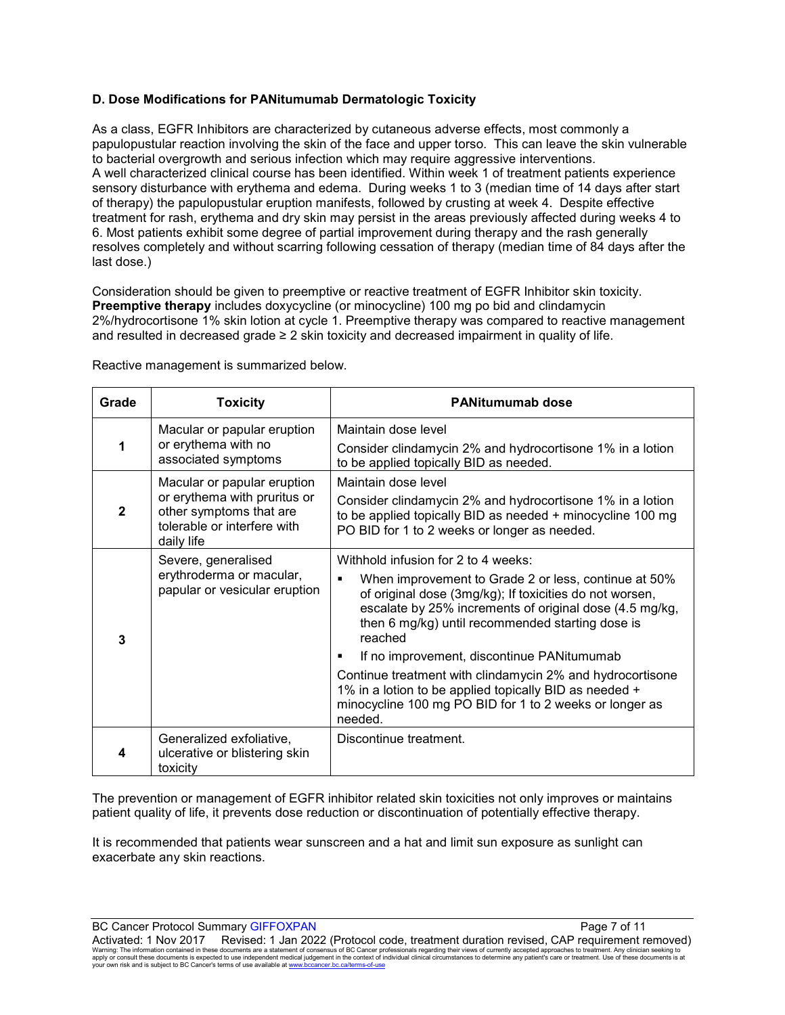# **D. Dose Modifications for PANitumumab Dermatologic Toxicity**

As a class, EGFR Inhibitors are characterized by cutaneous adverse effects, most commonly a papulopustular reaction involving the skin of the face and upper torso. This can leave the skin vulnerable to bacterial overgrowth and serious infection which may require aggressive interventions. A well characterized clinical course has been identified. Within week 1 of treatment patients experience sensory disturbance with erythema and edema. During weeks 1 to 3 (median time of 14 days after start of therapy) the papulopustular eruption manifests, followed by crusting at week 4. Despite effective treatment for rash, erythema and dry skin may persist in the areas previously affected during weeks 4 to 6. Most patients exhibit some degree of partial improvement during therapy and the rash generally resolves completely and without scarring following cessation of therapy (median time of 84 days after the last dose.)

Consideration should be given to preemptive or reactive treatment of EGFR Inhibitor skin toxicity. **Preemptive therapy** includes doxycycline (or minocycline) 100 mg po bid and clindamycin 2%/hydrocortisone 1% skin lotion at cycle 1. Preemptive therapy was compared to reactive management and resulted in decreased grade ≥ 2 skin toxicity and decreased impairment in quality of life.

| Grade        | <b>Toxicity</b>                                                                                                                     | <b>PANitumumab dose</b>                                                                                                                                                                                                                                                                                                                                                                                                                                                                                                     |  |  |
|--------------|-------------------------------------------------------------------------------------------------------------------------------------|-----------------------------------------------------------------------------------------------------------------------------------------------------------------------------------------------------------------------------------------------------------------------------------------------------------------------------------------------------------------------------------------------------------------------------------------------------------------------------------------------------------------------------|--|--|
|              | Macular or papular eruption<br>or erythema with no<br>associated symptoms                                                           | Maintain dose level<br>Consider clindamycin 2% and hydrocortisone 1% in a lotion<br>to be applied topically BID as needed.                                                                                                                                                                                                                                                                                                                                                                                                  |  |  |
| $\mathbf{2}$ | Macular or papular eruption<br>or erythema with pruritus or<br>other symptoms that are<br>tolerable or interfere with<br>daily life | Maintain dose level<br>Consider clindamycin 2% and hydrocortisone 1% in a lotion<br>to be applied topically BID as needed + minocycline 100 mg<br>PO BID for 1 to 2 weeks or longer as needed.                                                                                                                                                                                                                                                                                                                              |  |  |
| 3            | Severe, generalised<br>erythroderma or macular,<br>papular or vesicular eruption                                                    | Withhold infusion for 2 to 4 weeks:<br>When improvement to Grade 2 or less, continue at 50%<br>of original dose (3mg/kg); If toxicities do not worsen,<br>escalate by 25% increments of original dose (4.5 mg/kg,<br>then 6 mg/kg) until recommended starting dose is<br>reached<br>If no improvement, discontinue PANitumumab<br>Continue treatment with clindamycin 2% and hydrocortisone<br>1% in a lotion to be applied topically BID as needed +<br>minocycline 100 mg PO BID for 1 to 2 weeks or longer as<br>needed. |  |  |
|              | Generalized exfoliative,<br>ulcerative or blistering skin<br>toxicity                                                               | Discontinue treatment.                                                                                                                                                                                                                                                                                                                                                                                                                                                                                                      |  |  |

Reactive management is summarized below.

The prevention or management of EGFR inhibitor related skin toxicities not only improves or maintains patient quality of life, it prevents dose reduction or discontinuation of potentially effective therapy.

It is recommended that patients wear sunscreen and a hat and limit sun exposure as sunlight can exacerbate any skin reactions.

BC Cancer Protocol Summary GIFFOXPAN **Page 7** of 11

Activated: 1 Nov 2017 Revised: 1 Jan 2022 (Protocol code, treatment duration revised, CAP requirement removed) Warning: The information contained in these documents are a statement of consensus of BC Cancer professionals regarding their views of currently accepted approaches to treatment. Any clinician seeking to<br>apply or consult t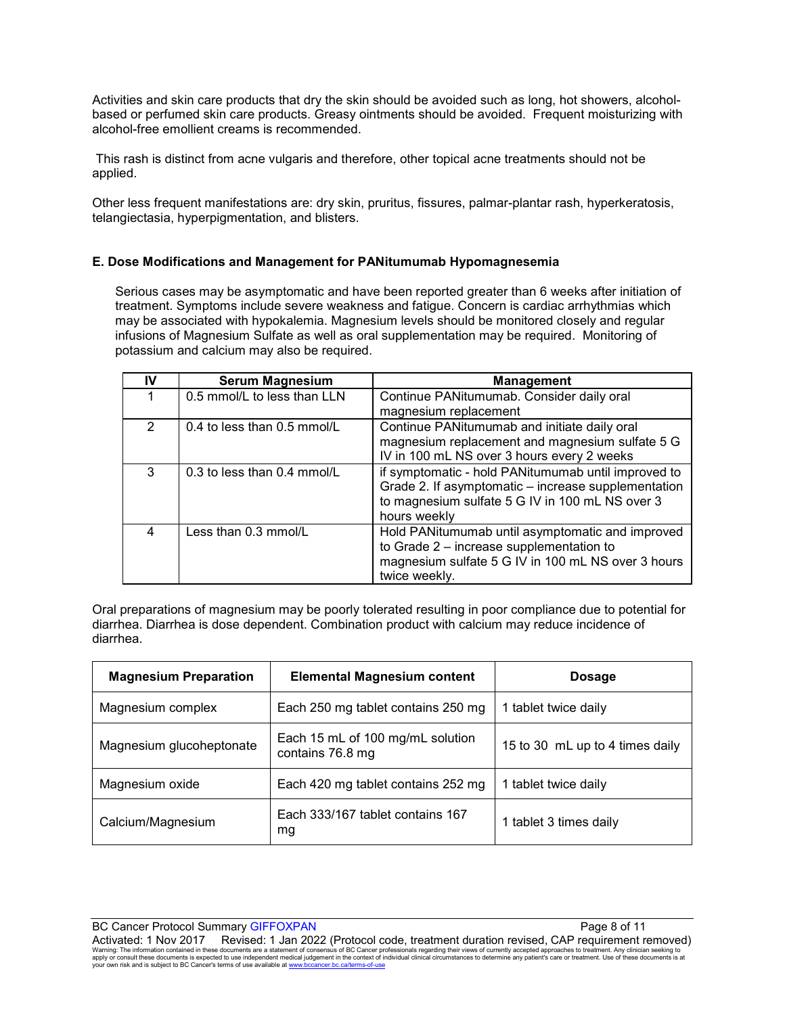Activities and skin care products that dry the skin should be avoided such as long, hot showers, alcoholbased or perfumed skin care products. Greasy ointments should be avoided. Frequent moisturizing with alcohol-free emollient creams is recommended.

This rash is distinct from acne vulgaris and therefore, other topical acne treatments should not be applied.

Other less frequent manifestations are: dry skin, pruritus, fissures, palmar-plantar rash, hyperkeratosis, telangiectasia, hyperpigmentation, and blisters.

### **E. Dose Modifications and Management for PANitumumab Hypomagnesemia**

Serious cases may be asymptomatic and have been reported greater than 6 weeks after initiation of treatment. Symptoms include severe weakness and fatigue. Concern is cardiac arrhythmias which may be associated with hypokalemia. Magnesium levels should be monitored closely and regular infusions of Magnesium Sulfate as well as oral supplementation may be required. Monitoring of potassium and calcium may also be required.

| IV | <b>Serum Magnesium</b>        | <b>Management</b>                                                                                                                                                             |  |
|----|-------------------------------|-------------------------------------------------------------------------------------------------------------------------------------------------------------------------------|--|
|    | 0.5 mmol/L to less than LLN   | Continue PANitumumab. Consider daily oral                                                                                                                                     |  |
|    |                               | magnesium replacement                                                                                                                                                         |  |
| 2  | $0.4$ to less than 0.5 mmol/L | Continue PANitumumab and initiate daily oral<br>magnesium replacement and magnesium sulfate 5 G<br>IV in 100 mL NS over 3 hours every 2 weeks                                 |  |
| 3  | 0.3 to less than 0.4 mmol/L   | if symptomatic - hold PANitumumab until improved to<br>Grade 2. If asymptomatic - increase supplementation<br>to magnesium sulfate 5 G IV in 100 mL NS over 3<br>hours weekly |  |
| 4  | Less than 0.3 mmol/L          | Hold PANitumumab until asymptomatic and improved<br>to Grade 2 - increase supplementation to<br>magnesium sulfate 5 G IV in 100 mL NS over 3 hours<br>twice weekly.           |  |

Oral preparations of magnesium may be poorly tolerated resulting in poor compliance due to potential for diarrhea. Diarrhea is dose dependent. Combination product with calcium may reduce incidence of diarrhea.

| <b>Magnesium Preparation</b> | <b>Elemental Magnesium content</b>                   | <b>Dosage</b>                   |  |
|------------------------------|------------------------------------------------------|---------------------------------|--|
| Magnesium complex            | Each 250 mg tablet contains 250 mg                   | 1 tablet twice daily            |  |
| Magnesium glucoheptonate     | Each 15 mL of 100 mg/mL solution<br>contains 76.8 mg | 15 to 30 mL up to 4 times daily |  |
| Magnesium oxide              | Each 420 mg tablet contains 252 mg                   | 1 tablet twice daily            |  |
| Calcium/Magnesium            | Each 333/167 tablet contains 167<br>mg               | 1 tablet 3 times daily          |  |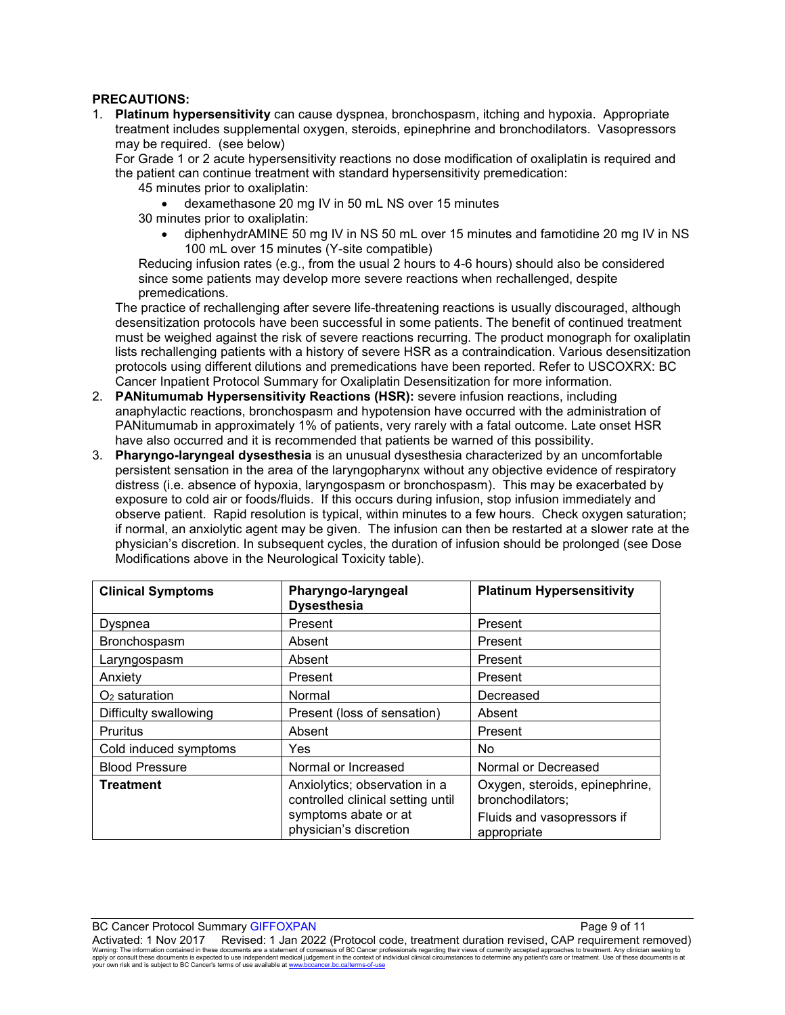### **PRECAUTIONS:**

1. **Platinum hypersensitivity** can cause dyspnea, bronchospasm, itching and hypoxia. Appropriate treatment includes supplemental oxygen, steroids, epinephrine and bronchodilators. Vasopressors may be required. (see below)

For Grade 1 or 2 acute hypersensitivity reactions no dose modification of oxaliplatin is required and the patient can continue treatment with standard hypersensitivity premedication:

- 45 minutes prior to oxaliplatin:
	- dexamethasone 20 mg IV in 50 mL NS over 15 minutes
- 30 minutes prior to oxaliplatin:
	- diphenhydrAMINE 50 mg IV in NS 50 mL over 15 minutes and famotidine 20 mg IV in NS 100 mL over 15 minutes (Y-site compatible)

Reducing infusion rates (e.g., from the usual 2 hours to 4-6 hours) should also be considered since some patients may develop more severe reactions when rechallenged, despite premedications.

The practice of rechallenging after severe life-threatening reactions is usually discouraged, although desensitization protocols have been successful in some patients. The benefit of continued treatment must be weighed against the risk of severe reactions recurring. The product monograph for oxaliplatin lists rechallenging patients with a history of severe HSR as a contraindication. Various desensitization protocols using different dilutions and premedications have been reported. Refer to USCOXRX: BC Cancer Inpatient Protocol Summary for Oxaliplatin Desensitization for more information.

- 2. **PANitumumab Hypersensitivity Reactions (HSR):** severe infusion reactions, including anaphylactic reactions, bronchospasm and hypotension have occurred with the administration of PANitumumab in approximately 1% of patients, very rarely with a fatal outcome. Late onset HSR have also occurred and it is recommended that patients be warned of this possibility.
- 3. **Pharyngo-laryngeal dysesthesia** is an unusual dysesthesia characterized by an uncomfortable persistent sensation in the area of the laryngopharynx without any objective evidence of respiratory distress (i.e. absence of hypoxia, laryngospasm or bronchospasm). This may be exacerbated by exposure to cold air or foods/fluids. If this occurs during infusion, stop infusion immediately and observe patient. Rapid resolution is typical, within minutes to a few hours. Check oxygen saturation; if normal, an anxiolytic agent may be given. The infusion can then be restarted at a slower rate at the physician's discretion. In subsequent cycles, the duration of infusion should be prolonged (see Dose Modifications above in the Neurological Toxicity table).

| <b>Clinical Symptoms</b> | Pharyngo-laryngeal<br><b>Dysesthesia</b>                                                                             | <b>Platinum Hypersensitivity</b>                                                                |
|--------------------------|----------------------------------------------------------------------------------------------------------------------|-------------------------------------------------------------------------------------------------|
| Dyspnea                  | Present                                                                                                              | Present                                                                                         |
| <b>Bronchospasm</b>      | Absent                                                                                                               | Present                                                                                         |
| Laryngospasm             | Absent                                                                                                               | Present                                                                                         |
| Anxiety                  | Present                                                                                                              | Present                                                                                         |
| $O2$ saturation          | Normal                                                                                                               | Decreased                                                                                       |
| Difficulty swallowing    | Present (loss of sensation)                                                                                          | Absent                                                                                          |
| <b>Pruritus</b>          | Absent                                                                                                               | Present                                                                                         |
| Cold induced symptoms    | Yes                                                                                                                  | <b>No</b>                                                                                       |
| <b>Blood Pressure</b>    | Normal or Increased                                                                                                  | Normal or Decreased                                                                             |
| <b>Treatment</b>         | Anxiolytics; observation in a<br>controlled clinical setting until<br>symptoms abate or at<br>physician's discretion | Oxygen, steroids, epinephrine,<br>bronchodilators;<br>Fluids and vasopressors if<br>appropriate |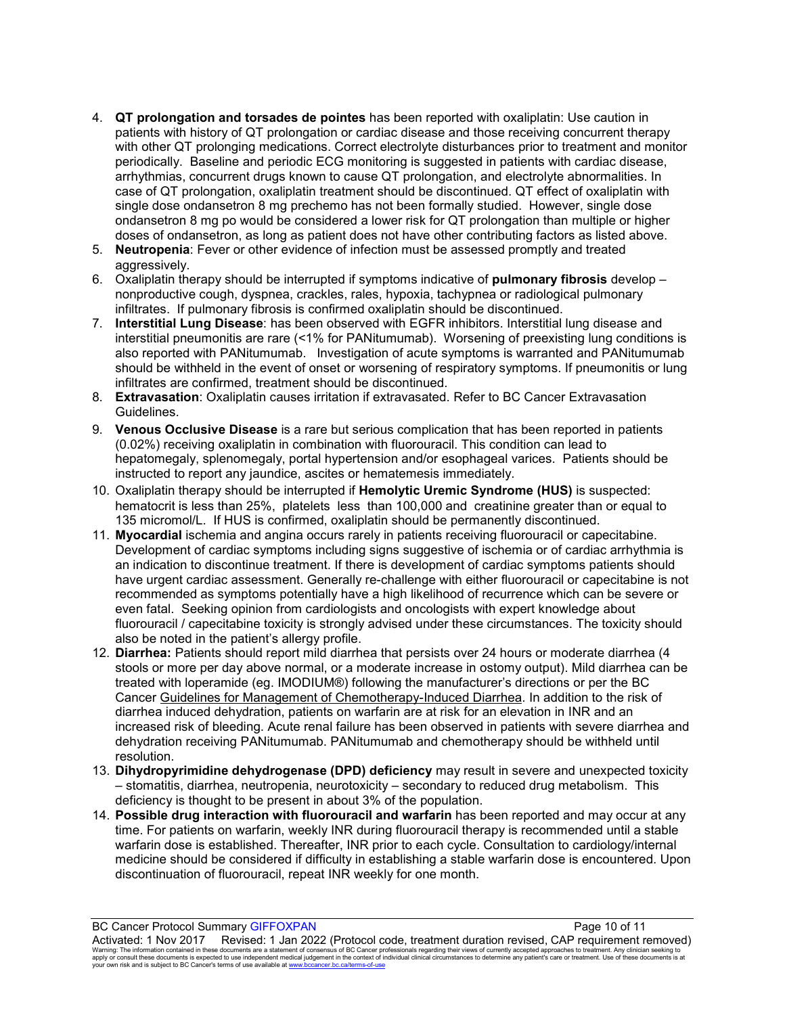- 4. **QT prolongation and torsades de pointes** has been reported with oxaliplatin: Use caution in patients with history of QT prolongation or cardiac disease and those receiving concurrent therapy with other QT prolonging medications. Correct electrolyte disturbances prior to treatment and monitor periodically. Baseline and periodic ECG monitoring is suggested in patients with cardiac disease, arrhythmias, concurrent drugs known to cause QT prolongation, and electrolyte abnormalities. In case of QT prolongation, oxaliplatin treatment should be discontinued. QT effect of oxaliplatin with single dose ondansetron 8 mg prechemo has not been formally studied. However, single dose ondansetron 8 mg po would be considered a lower risk for QT prolongation than multiple or higher doses of ondansetron, as long as patient does not have other contributing factors as listed above.
- 5. **Neutropenia**: Fever or other evidence of infection must be assessed promptly and treated aggressively.
- 6. Oxaliplatin therapy should be interrupted if symptoms indicative of **pulmonary fibrosis** develop nonproductive cough, dyspnea, crackles, rales, hypoxia, tachypnea or radiological pulmonary infiltrates. If pulmonary fibrosis is confirmed oxaliplatin should be discontinued.
- 7. **Interstitial Lung Disease**: has been observed with EGFR inhibitors. Interstitial lung disease and interstitial pneumonitis are rare (<1% for PANitumumab). Worsening of preexisting lung conditions is also reported with PANitumumab. Investigation of acute symptoms is warranted and PANitumumab should be withheld in the event of onset or worsening of respiratory symptoms. If pneumonitis or lung infiltrates are confirmed, treatment should be discontinued.
- 8. **Extravasation**: Oxaliplatin causes irritation if extravasated. Refer to BC Cancer Extravasation Guidelines.
- 9. **Venous Occlusive Disease** is a rare but serious complication that has been reported in patients (0.02%) receiving oxaliplatin in combination with fluorouracil. This condition can lead to hepatomegaly, splenomegaly, portal hypertension and/or esophageal varices. Patients should be instructed to report any jaundice, ascites or hematemesis immediately.
- 10. Oxaliplatin therapy should be interrupted if **Hemolytic Uremic Syndrome (HUS)** is suspected: hematocrit is less than 25%, platelets less than 100,000 and creatinine greater than or equal to 135 micromol/L. If HUS is confirmed, oxaliplatin should be permanently discontinued.
- 11. **Myocardial** ischemia and angina occurs rarely in patients receiving fluorouracil or capecitabine. Development of cardiac symptoms including signs suggestive of ischemia or of cardiac arrhythmia is an indication to discontinue treatment. If there is development of cardiac symptoms patients should have urgent cardiac assessment. Generally re-challenge with either fluorouracil or capecitabine is not recommended as symptoms potentially have a high likelihood of recurrence which can be severe or even fatal. Seeking opinion from cardiologists and oncologists with expert knowledge about fluorouracil / capecitabine toxicity is strongly advised under these circumstances. The toxicity should also be noted in the patient's allergy profile.
- 12. **Diarrhea:** Patients should report mild diarrhea that persists over 24 hours or moderate diarrhea (4 stools or more per day above normal, or a moderate increase in ostomy output). Mild diarrhea can be treated with loperamide (eg. IMODIUM®) following the manufacturer's directions or per the BC Cancer [Guidelines for Management of Chemotherapy-Induced Diarrhea.](http://www.bccancer.bc.ca/health-professionals/professional-resources/cancer-management-guidelines/supportive-care) In addition to the risk of diarrhea induced dehydration, patients on warfarin are at risk for an elevation in INR and an increased risk of bleeding. Acute renal failure has been observed in patients with severe diarrhea and dehydration receiving PANitumumab. PANitumumab and chemotherapy should be withheld until resolution.
- 13. **Dihydropyrimidine dehydrogenase (DPD) deficiency** may result in severe and unexpected toxicity – stomatitis, diarrhea, neutropenia, neurotoxicity – secondary to reduced drug metabolism. This deficiency is thought to be present in about 3% of the population.
- 14. **Possible drug interaction with fluorouracil and warfarin** has been reported and may occur at any time. For patients on warfarin, weekly INR during fluorouracil therapy is recommended until a stable warfarin dose is established. Thereafter, INR prior to each cycle. Consultation to cardiology/internal medicine should be considered if difficulty in establishing a stable warfarin dose is encountered. Upon discontinuation of fluorouracil, repeat INR weekly for one month.

BC Cancer Protocol Summary GIFFOXPAN **Page 10 of 11** Activated: 1 Nov 2017 Revised: 1 Jan 2022 (Protocol code, treatment duration revised, CAP requirement removed) Warning: The information contained in these documents are a statement of consensus of BC Cancer professionals regarding their views of currently accepted approaches to treatment. Any clinician seeking to<br>apply or consult t